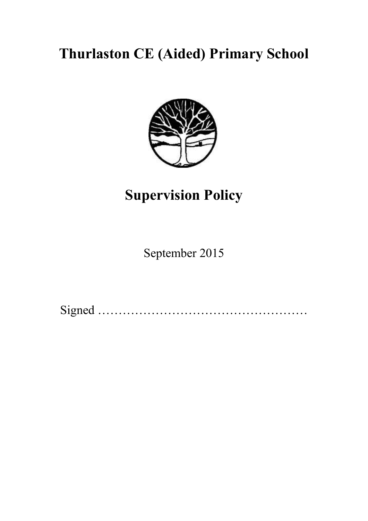# **Thurlaston CE (Aided) Primary School**



# **Supervision Policy**

September 2015

Signed ……………………………………………………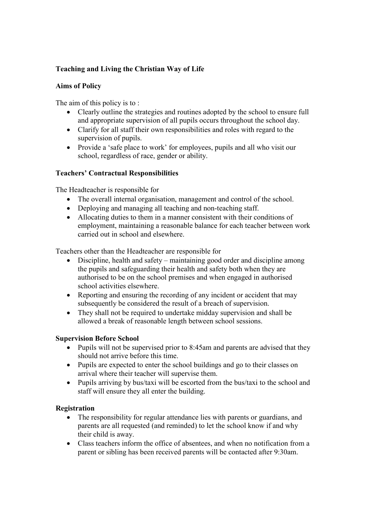# **Teaching and Living the Christian Way of Life**

## **Aims of Policy**

The aim of this policy is to :

- Clearly outline the strategies and routines adopted by the school to ensure full and appropriate supervision of all pupils occurs throughout the school day.
- Clarify for all staff their own responsibilities and roles with regard to the supervision of pupils.
- Provide a 'safe place to work' for employees, pupils and all who visit our school, regardless of race, gender or ability.

## **Teachers' Contractual Responsibilities**

The Headteacher is responsible for

- The overall internal organisation, management and control of the school.
- Deploying and managing all teaching and non-teaching staff.
- Allocating duties to them in a manner consistent with their conditions of employment, maintaining a reasonable balance for each teacher between work carried out in school and elsewhere.

Teachers other than the Headteacher are responsible for

- Discipline, health and safety maintaining good order and discipline among the pupils and safeguarding their health and safety both when they are authorised to be on the school premises and when engaged in authorised school activities elsewhere.
- Reporting and ensuring the recording of any incident or accident that may subsequently be considered the result of a breach of supervision.
- They shall not be required to undertake midday supervision and shall be allowed a break of reasonable length between school sessions.

## **Supervision Before School**

- Pupils will not be supervised prior to 8:45am and parents are advised that they should not arrive before this time.
- Pupils are expected to enter the school buildings and go to their classes on arrival where their teacher will supervise them.
- Pupils arriving by bus/taxi will be escorted from the bus/taxi to the school and staff will ensure they all enter the building.

## **Registration**

- The responsibility for regular attendance lies with parents or guardians, and parents are all requested (and reminded) to let the school know if and why their child is away.
- Class teachers inform the office of absentees, and when no notification from a parent or sibling has been received parents will be contacted after 9:30am.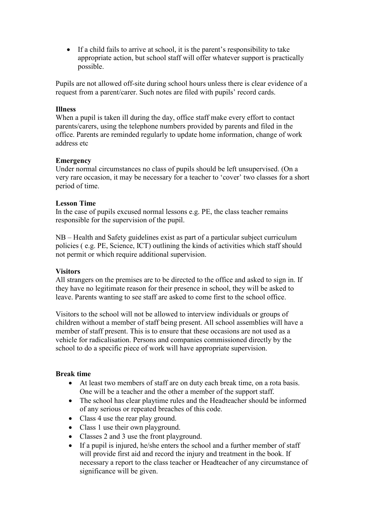• If a child fails to arrive at school, it is the parent's responsibility to take appropriate action, but school staff will offer whatever support is practically possible.

Pupils are not allowed off-site during school hours unless there is clear evidence of a request from a parent/carer. Such notes are filed with pupils' record cards.

#### **Illness**

When a pupil is taken ill during the day, office staff make every effort to contact parents/carers, using the telephone numbers provided by parents and filed in the office. Parents are reminded regularly to update home information, change of work address etc

#### **Emergency**

Under normal circumstances no class of pupils should be left unsupervised. (On a very rare occasion, it may be necessary for a teacher to 'cover' two classes for a short period of time.

#### **Lesson Time**

In the case of pupils excused normal lessons e.g. PE, the class teacher remains responsible for the supervision of the pupil.

NB – Health and Safety guidelines exist as part of a particular subject curriculum policies ( e.g. PE, Science, ICT) outlining the kinds of activities which staff should not permit or which require additional supervision.

#### **Visitors**

All strangers on the premises are to be directed to the office and asked to sign in. If they have no legitimate reason for their presence in school, they will be asked to leave. Parents wanting to see staff are asked to come first to the school office.

Visitors to the school will not be allowed to interview individuals or groups of children without a member of staff being present. All school assemblies will have a member of staff present. This is to ensure that these occasions are not used as a vehicle for radicalisation. Persons and companies commissioned directly by the school to do a specific piece of work will have appropriate supervision.

#### **Break time**

- At least two members of staff are on duty each break time, on a rota basis. One will be a teacher and the other a member of the support staff.
- The school has clear playtime rules and the Headteacher should be informed of any serious or repeated breaches of this code.
- Class 4 use the rear play ground.
- Class 1 use their own playground.
- Classes 2 and 3 use the front playground.
- If a pupil is injured, he/she enters the school and a further member of staff will provide first aid and record the injury and treatment in the book. If necessary a report to the class teacher or Headteacher of any circumstance of significance will be given.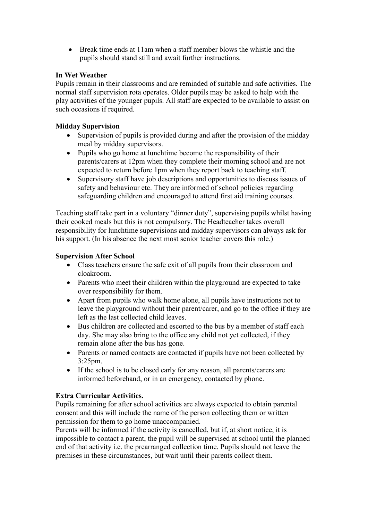• Break time ends at 11am when a staff member blows the whistle and the pupils should stand still and await further instructions.

# **In Wet Weather**

Pupils remain in their classrooms and are reminded of suitable and safe activities. The normal staff supervision rota operates. Older pupils may be asked to help with the play activities of the younger pupils. All staff are expected to be available to assist on such occasions if required.

# **Midday Supervision**

- Supervision of pupils is provided during and after the provision of the midday meal by midday supervisors.
- Pupils who go home at lunchtime become the responsibility of their parents/carers at 12pm when they complete their morning school and are not expected to return before 1pm when they report back to teaching staff.
- Supervisory staff have job descriptions and opportunities to discuss issues of safety and behaviour etc. They are informed of school policies regarding safeguarding children and encouraged to attend first aid training courses.

Teaching staff take part in a voluntary "dinner duty", supervising pupils whilst having their cooked meals but this is not compulsory. The Headteacher takes overall responsibility for lunchtime supervisions and midday supervisors can always ask for his support. (In his absence the next most senior teacher covers this role.)

# **Supervision After School**

- Class teachers ensure the safe exit of all pupils from their classroom and cloakroom.
- Parents who meet their children within the playground are expected to take over responsibility for them.
- Apart from pupils who walk home alone, all pupils have instructions not to leave the playground without their parent/carer, and go to the office if they are left as the last collected child leaves.
- Bus children are collected and escorted to the bus by a member of staff each day. She may also bring to the office any child not yet collected, if they remain alone after the bus has gone.
- Parents or named contacts are contacted if pupils have not been collected by 3:25pm.
- If the school is to be closed early for any reason, all parents/carers are informed beforehand, or in an emergency, contacted by phone.

# **Extra Curricular Activities.**

Pupils remaining for after school activities are always expected to obtain parental consent and this will include the name of the person collecting them or written permission for them to go home unaccompanied.

Parents will be informed if the activity is cancelled, but if, at short notice, it is impossible to contact a parent, the pupil will be supervised at school until the planned end of that activity i.e. the prearranged collection time. Pupils should not leave the premises in these circumstances, but wait until their parents collect them.